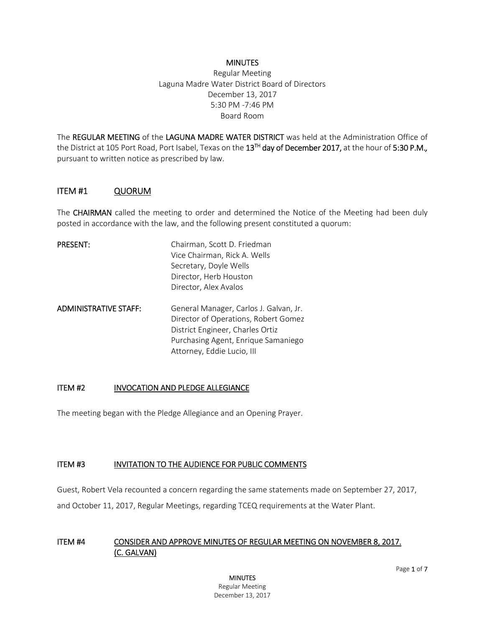#### **MINUTES**

Regular Meeting Laguna Madre Water District Board of Directors December 13, 2017 5:30 PM -7:46 PM Board Room

The REGULAR MEETING of the LAGUNA MADRE WATER DISTRICT was held at the Administration Office of the District at 105 Port Road, Port Isabel, Texas on the 13TH day of December 2017, at the hour of 5:30 P.M.*,* pursuant to written notice as prescribed by law.

#### ITEM #1 QUORUM

The CHAIRMAN called the meeting to order and determined the Notice of the Meeting had been duly posted in accordance with the law, and the following present constituted a quorum:

| <b>PRESENT:</b>              | Chairman, Scott D. Friedman                                                                                        |
|------------------------------|--------------------------------------------------------------------------------------------------------------------|
|                              | Vice Chairman, Rick A. Wells                                                                                       |
|                              | Secretary, Doyle Wells                                                                                             |
|                              | Director, Herb Houston                                                                                             |
|                              | Director, Alex Avalos                                                                                              |
| <b>ADMINISTRATIVE STAFF:</b> | General Manager, Carlos J. Galvan, Jr.<br>Director of Operations, Robert Gomez<br>District Engineer, Charles Ortiz |
|                              | Purchasing Agent, Enrique Samaniego                                                                                |
|                              | Attorney, Eddie Lucio, III                                                                                         |

#### ITEM #2 INVOCATION AND PLEDGE ALLEGIANCE

The meeting began with the Pledge Allegiance and an Opening Prayer.

#### ITEM #3 INVITATION TO THE AUDIENCE FOR PUBLIC COMMENTS

Guest, Robert Vela recounted a concern regarding the same statements made on September 27, 2017,

and October 11, 2017, Regular Meetings, regarding TCEQ requirements at the Water Plant.

#### ITEM #4 CONSIDER AND APPROVE MINUTES OF REGULAR MEETING ON NOVEMBER 8, 2017. (C. GALVAN)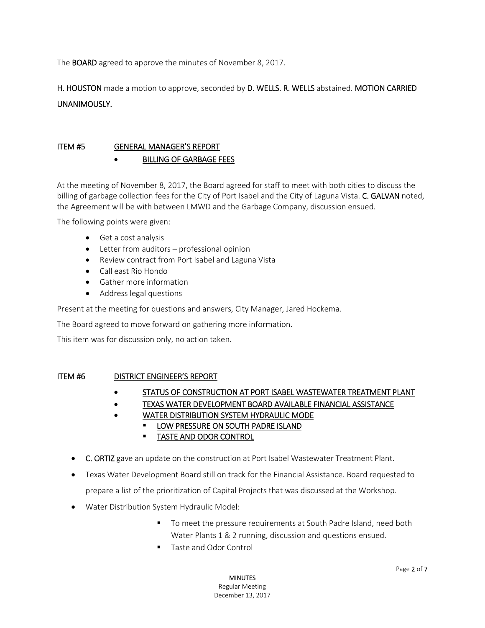The BOARD agreed to approve the minutes of November 8, 2017.

H. HOUSTON made a motion to approve, seconded by D. WELLS. R. WELLS abstained. MOTION CARRIED UNANIMOUSLY.

### ITEM #5 GENERAL MANAGER'S REPORT BILLING OF GARBAGE FEES

At the meeting of November 8, 2017, the Board agreed for staff to meet with both cities to discuss the billing of garbage collection fees for the City of Port Isabel and the City of Laguna Vista. C. GALVAN noted, the Agreement will be with between LMWD and the Garbage Company, discussion ensued.

The following points were given:

- Get a cost analysis
- Letter from auditors professional opinion
- Review contract from Port Isabel and Laguna Vista
- Call east Rio Hondo
- Gather more information
- Address legal questions

Present at the meeting for questions and answers, City Manager, Jared Hockema.

The Board agreed to move forward on gathering more information.

This item was for discussion only, no action taken.

#### ITEM #6 DISTRICT ENGINEER'S REPORT

- **STATUS OF CONSTRUCTION AT PORT ISABEL WASTEWATER TREATMENT PLANT**
- TEXAS WATER DEVELOPMENT BOARD AVAILABLE FINANCIAL ASSISTANCE
- WATER DISTRIBUTION SYSTEM HYDRAULIC MODE
	- LOW PRESSURE ON SOUTH PADRE ISLAND
		- **TASTE AND ODOR CONTROL**
- C. ORTIZ gave an update on the construction at Port Isabel Wastewater Treatment Plant.
- Texas Water Development Board still on track for the Financial Assistance. Board requested to prepare a list of the prioritization of Capital Projects that was discussed at the Workshop.
- Water Distribution System Hydraulic Model:
	- To meet the pressure requirements at South Padre Island, need both Water Plants 1 & 2 running, discussion and questions ensued.
	- Taste and Odor Control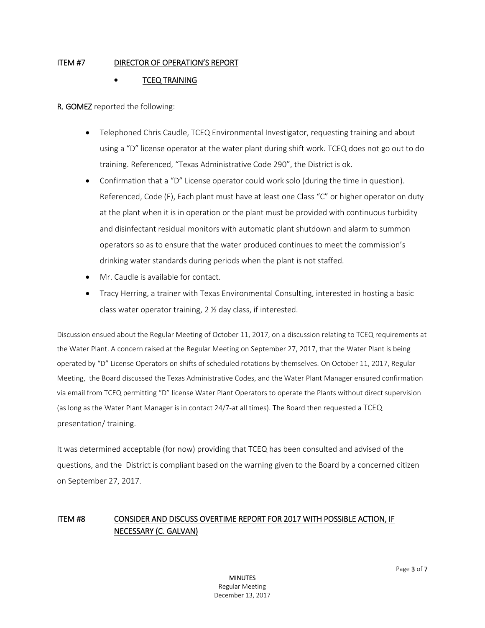### ITEM #7 DIRECTOR OF OPERATION'S REPORT

### TCEQ TRAINING

R. GOMEZ reported the following:

- Telephoned Chris Caudle, TCEQ Environmental Investigator, requesting training and about using a "D" license operator at the water plant during shift work. TCEQ does not go out to do training. Referenced, "Texas Administrative Code 290", the District is ok.
- Confirmation that a "D" License operator could work solo (during the time in question). Referenced, Code (F), Each plant must have at least one Class "C" or higher operator on duty at the plant when it is in operation or the plant must be provided with continuous turbidity and disinfectant residual monitors with automatic plant shutdown and alarm to summon operators so as to ensure that the water produced continues to meet the commission's drinking water standards during periods when the plant is not staffed.
- Mr. Caudle is available for contact.
- Tracy Herring, a trainer with Texas Environmental Consulting, interested in hosting a basic class water operator training, 2 ½ day class, if interested.

Discussion ensued about the Regular Meeting of October 11, 2017, on a discussion relating to TCEQ requirements at the Water Plant. A concern raised at the Regular Meeting on September 27, 2017, that the Water Plant is being operated by "D" License Operators on shifts of scheduled rotations by themselves. On October 11, 2017, Regular Meeting, the Board discussed the Texas Administrative Codes, and the Water Plant Manager ensured confirmation via email from TCEQ permitting "D" license Water Plant Operators to operate the Plants without direct supervision (as long as the Water Plant Manager is in contact 24/7-at all times). The Board then requested a TCEQ presentation/ training.

It was determined acceptable (for now) providing that TCEQ has been consulted and advised of the questions, and the District is compliant based on the warning given to the Board by a concerned citizen on September 27, 2017.

## ITEM #8 CONSIDER AND DISCUSS OVERTIME REPORT FOR 2017 WITH POSSIBLE ACTION, IF NECESSARY (C. GALVAN)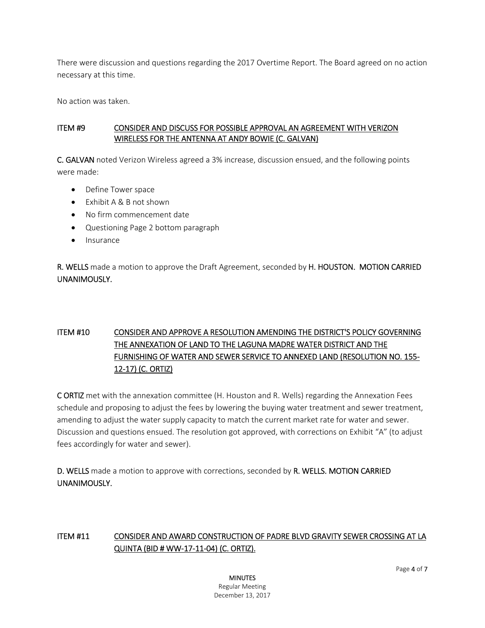There were discussion and questions regarding the 2017 Overtime Report. The Board agreed on no action necessary at this time.

No action was taken.

### ITEM #9 CONSIDER AND DISCUSS FOR POSSIBLE APPROVAL AN AGREEMENT WITH VERIZON WIRELESS FOR THE ANTENNA AT ANDY BOWIE (C. GALVAN)

C. GALVAN noted Verizon Wireless agreed a 3% increase, discussion ensued, and the following points were made:

- Define Tower space
- $\bullet$  Fxhibit A & B not shown
- No firm commencement date
- Questioning Page 2 bottom paragraph
- Insurance

R. WELLS made a motion to approve the Draft Agreement, seconded by H. HOUSTON. MOTION CARRIED UNANIMOUSLY.

# ITEM #10 CONSIDER AND APPROVE A RESOLUTION AMENDING THE DISTRICT'S POLICY GOVERNING THE ANNEXATION OF LAND TO THE LAGUNA MADRE WATER DISTRICT AND THE FURNISHING OF WATER AND SEWER SERVICE TO ANNEXED LAND (RESOLUTION NO. 155- 12-17) (C. ORTIZ)

C ORTIZ met with the annexation committee (H. Houston and R. Wells) regarding the Annexation Fees schedule and proposing to adjust the fees by lowering the buying water treatment and sewer treatment, amending to adjust the water supply capacity to match the current market rate for water and sewer. Discussion and questions ensued. The resolution got approved, with corrections on Exhibit "A" (to adjust fees accordingly for water and sewer).

D. WELLS made a motion to approve with corrections, seconded by R. WELLS. MOTION CARRIED UNANIMOUSLY.

## ITEM #11 CONSIDER AND AWARD CONSTRUCTION OF PADRE BLVD GRAVITY SEWER CROSSING AT LA QUINTA (BID # WW-17-11-04) (C. ORTIZ).

**MINUTES** Regular Meeting December 13, 2017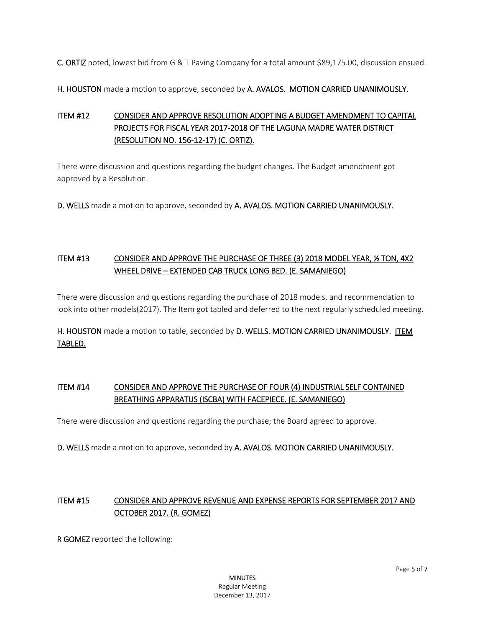C. ORTIZ noted, lowest bid from G & T Paving Company for a total amount \$89,175.00, discussion ensued.

H. HOUSTON made a motion to approve, seconded by A. AVALOS. MOTION CARRIED UNANIMOUSLY.

# ITEM #12 CONSIDER AND APPROVE RESOLUTION ADOPTING A BUDGET AMENDMENT TO CAPITAL PROJECTS FOR FISCAL YEAR 2017-2018 OF THE LAGUNA MADRE WATER DISTRICT (RESOLUTION NO. 156-12-17) (C. ORTIZ).

There were discussion and questions regarding the budget changes. The Budget amendment got approved by a Resolution.

D. WELLS made a motion to approve, seconded by A. AVALOS. MOTION CARRIED UNANIMOUSLY.

# ITEM #13 CONSIDER AND APPROVE THE PURCHASE OF THREE (3) 2018 MODEL YEAR, ½ TON, 4X2 WHEEL DRIVE – EXTENDED CAB TRUCK LONG BED. (E. SAMANIEGO)

There were discussion and questions regarding the purchase of 2018 models, and recommendation to look into other models(2017). The Item got tabled and deferred to the next regularly scheduled meeting.

H. HOUSTON made a motion to table, seconded by D. WELLS. MOTION CARRIED UNANIMOUSLY. ITEM TABLED.

## ITEM #14 CONSIDER AND APPROVE THE PURCHASE OF FOUR (4) INDUSTRIAL SELF CONTAINED BREATHING APPARATUS (ISCBA) WITH FACEPIECE. (E. SAMANIEGO)

There were discussion and questions regarding the purchase; the Board agreed to approve.

D. WELLS made a motion to approve, seconded by A. AVALOS. MOTION CARRIED UNANIMOUSLY.

## ITEM #15 CONSIDER AND APPROVE REVENUE AND EXPENSE REPORTS FOR SEPTEMBER 2017 AND OCTOBER 2017. (R. GOMEZ)

R GOMEZ reported the following: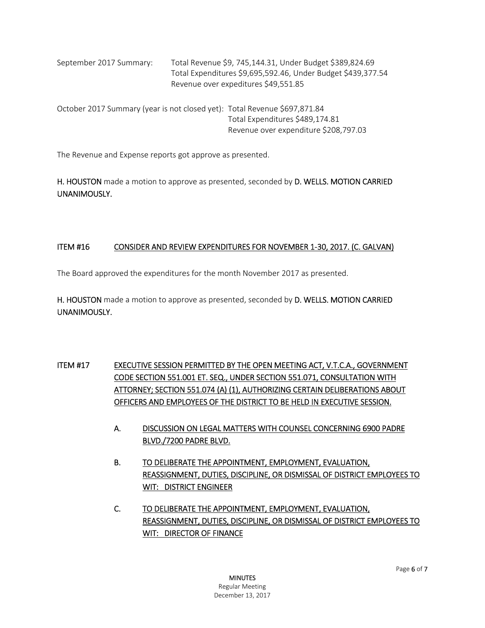| September 2017 Summary: | Total Revenue \$9, 745,144.31, Under Budget \$389,824.69     |
|-------------------------|--------------------------------------------------------------|
|                         | Total Expenditures \$9,695,592.46, Under Budget \$439,377.54 |
|                         | Revenue over expeditures \$49,551.85                         |

October 2017 Summary (year is not closed yet): Total Revenue \$697,871.84 Total Expenditures \$489,174.81 Revenue over expenditure \$208,797.03

The Revenue and Expense reports got approve as presented.

H. HOUSTON made a motion to approve as presented, seconded by D. WELLS. MOTION CARRIED UNANIMOUSLY.

### ITEM #16 CONSIDER AND REVIEW EXPENDITURES FOR NOVEMBER 1-30, 2017. (C. GALVAN)

The Board approved the expenditures for the month November 2017 as presented.

H. HOUSTON made a motion to approve as presented, seconded by D. WELLS. MOTION CARRIED UNANIMOUSLY.

ITEM #17 EXECUTIVE SESSION PERMITTED BY THE OPEN MEETING ACT, V.T.C.A., GOVERNMENT CODE SECTION 551.001 ET. SEQ., UNDER SECTION 551.071, CONSULTATION WITH ATTORNEY; SECTION 551.074 (A) (1), AUTHORIZING CERTAIN DELIBERATIONS ABOUT OFFICERS AND EMPLOYEES OF THE DISTRICT TO BE HELD IN EXECUTIVE SESSION.

- A. DISCUSSION ON LEGAL MATTERS WITH COUNSEL CONCERNING 6900 PADRE BLVD./7200 PADRE BLVD.
- B. TO DELIBERATE THE APPOINTMENT, EMPLOYMENT, EVALUATION, REASSIGNMENT, DUTIES, DISCIPLINE, OR DISMISSAL OF DISTRICT EMPLOYEES TO WIT: DISTRICT ENGINEER
- C. TO DELIBERATE THE APPOINTMENT, EMPLOYMENT, EVALUATION, REASSIGNMENT, DUTIES, DISCIPLINE, OR DISMISSAL OF DISTRICT EMPLOYEES TO WIT: DIRECTOR OF FINANCE